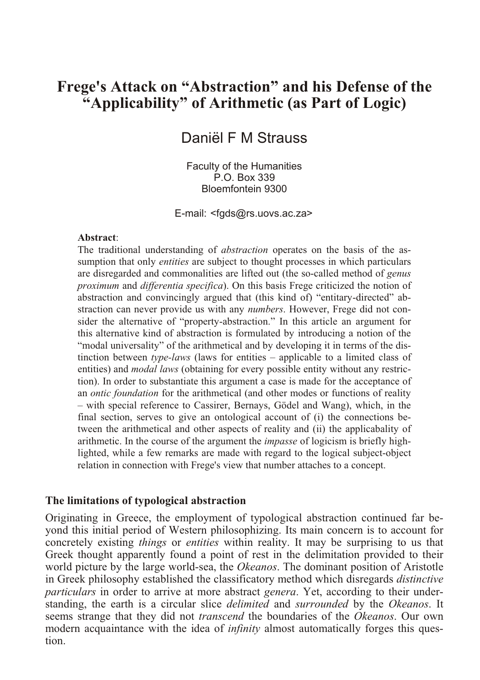# **Frege's Attack on "Abstraction" and his Defense of the "Applicability" of Arithmetic (as Part of Logic)**

## Daniël F M Strauss

Faculty of the Humanities P.O. Box 339 Bloemfontein 9300

E-mail: <fgds@rs.uovs.ac.za>

#### **Ab stract**:

The traditional understanding of *abstraction* operates on the basis of the assumption that only *entities* are subject to thought processes in which particulars are disregarded and commonalities are lifted out (the so-called method of *genus proximum* and *differentia specifica*). On this basis Frege criticized the notion of ab straction and convincingly argued that (this kind of) "entitary-directed" abstraction can never provide us with any *numbers*. However, Frege did not consider the alternative of "property-abstraction." In this article an argument for this alternative kind of abstraction is formulated by introducing a notion of the "modal universality" of the arithmetical and by developing it in terms of the distinction between *type-laws* (laws for entities – applicable to a limited class of entities) and *modal laws* (obtaining for every possible entity without any restriction). In order to substantiate this argument a case is made for the acceptance of an *ontic foundation* for the arithmetical (and other modes or functions of reality – with special reference to Cassirer, Bernays, Gödel and Wang), which, in the final section, serves to give an ontological account of  $(i)$  the connections between the arithmetical and other aspects of reality and (ii) the applicabality of arithmetic. In the course of the argument the *impasse* of logicism is briefly highlighted, while a few remarks are made with regard to the logical subject-object relation in connection with Frege's view that number attaches to a concept.

#### **The limitations of typological abstraction**

Originating in Greece, the employment of typological abstraction continued far beyond this initial period of Western philosophizing. Its main concern is to account for concretely existing *things* or *entities* within reality. It may be surprising to us that Greek thought apparently found a point of rest in the delimitation provided to their world picture by the large world-sea, the *Okeanos*. The dominant position of Aristotle in Greek philosophy established the classificatory method which disregards *distinctive particulars* in order to arrive at more abstract *genera*. Yet, according to their understanding, the earth is a circular slice *delimited* and *surrounded* by the *Okeanos*. It seems strange that they did not *tran scend* the boundaries of the *Okeanos*. Our own modern acquaintance with the idea of *infinity* almost automatically forges this question.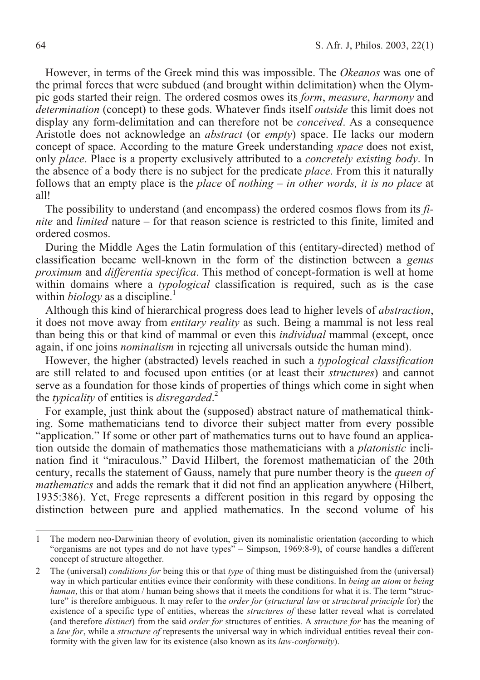However, in terms of the Greek mind this was impossible. The *Okeanos* was one of the primal forces that were subdued (and brought within delimitation) when the Olympic gods started their reign. The or dered cos mos owes its *form*, *meas ure*, *har mony* and *determination* (concept) to these gods. Whatever finds itself *outside* this limit does not display any form-delimitation and can therefore not be *conceived*. As a consequence Aristotle does not acknowledge an *abstract* (or *empty*) space. He lacks our modern concept of space. According to the mature Greek understanding *space* does not exist, only *place*. Place is a property exclusively attributed to a *concretely existing body*. In the absence of a body there is no subject for the predicate *place*. From this it naturally follows that an empty place is the *place* of *nothing* – *in other words, it is no place* at all!

The possibility to understand (and encompass) the ordered cosmos flows from its  $f_i$ *nite* and *limited* nature – for that reason science is restricted to this finite, limited and or dered cos mos.

During the Middle Ages the Latin formulation of this (entitary-directed) method of classification became well-known in the form of the distinction between a *genus proximum* and *differentia specifica*. This method of concept-formation is well at home within domains where a *typological* classification is required, such as is the case within *biology* as a discipline.<sup>1</sup>

Although this kind of hierarchical progress does lead to higher levels of *abstraction*, it does not move away from *entitary reality* as such. Being a mammal is not less real than being this or that kind of mammal or even this *individual* mammal (except, once again, if one joins *nominalism* in rejecting all universals outside the human mind).

However, the higher (abstracted) levels reached in such a *typological classification* are still related to and focused upon entities (or at least their *structures*) and cannot serve as a foundation for those kinds of properties of things which come in sight when the *typicality* of entities is *disregarded*.<sup>2</sup>

For example, just think about the (supposed) abstract nature of mathematical thinking. Some mathematicians tend to divorce their subject matter from every possible "application." If some or other part of mathematics turns out to have found an application outside the domain of mathematics those mathematicians with a *platonistic* inclination find it "miraculous." David Hilbert, the foremost mathematician of the 20th century, recalls the statement of Gauss, namely that pure number theory is the *queen of mathe matics* and adds the remark that it did not find an application anywhere (Hilbert, 1935:386). Yet, Frege represents a different position in this regard by opposing the distinction between pure and applied mathematics. In the second volume of his

<sup>1</sup> The modern neo-Darwinian theory of evolution, given its nominalistic orientation (according to which "organisms are not types and do not have types" – Simpson, 1969:8-9), of course handles a different concept of structure altogether.

<sup>2</sup> The (universal) *conditions for* being this or that *type* of thing must be distinguished from the (universal) way in which particular entities evince their conformity with these conditions. In *being an atom* or *being human*, this or that atom / human being shows that it meets the conditions for what it is. The term "structure" is therefore ambiguous. It may refer to the *order for* (*structural law* or *structural principle* for) the existence of a specific type of entities, whereas the *structures of* these latter reveal what is correlated (and therefore *distinct*) from the said *order for* structures of entities. A *structure for* has the meaning of a *law for*, while a *structure of* represents the universal way in which individual entities reveal their confor mity with the given law for its existence (also known as its *law-conformity*).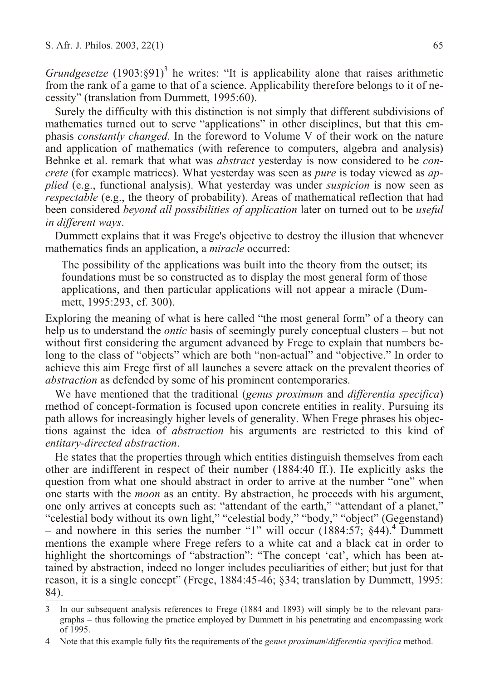*Grundgesetze* (1903:§91)<sup>3</sup> he writes: "It is applicability alone that raises arithmetic from the rank of a game to that of a science. Applicability therefore belongs to it of necessity" (translation from Dummett, 1995:60).

Surely the difficulty with this distinction is not simply that different subdivisions of mathematics turned out to serve "applications" in other disciplines, but that this emphasis *constantly changed*. In the foreword to Volume V of their work on the nature and application of mathematics (with reference to computers, algebra and analysis) Behnke et al. remark that what was *abstract* vesterday is now considered to be *concrete* (for example matrices). What yesterday was seen as *pure* is today viewed as *applied* (e.g., functional analysis). What yesterday was under *suspicion* is now seen as *respectable* (e.g., the theory of probability). Areas of mathematical reflection that had been considered *beyond all possibilities of application* later on turned out to be *useful* in different ways.

Dummett explains that it was Frege's objective to destroy the illusion that whenever mathematics finds an application, a *miracle* occurred:

The possibility of the applications was built into the theory from the outset; its foundations must be so constructed as to display the most general form of those applications, and then particular applications will not appear a miracle (Dummett, 1995:293, cf. 300).

Exploring the meaning of what is here called "the most general form" of a theory can help us to understand the *ontic* basis of seemingly purely conceptual clusters – but not without first considering the argument advanced by Frege to explain that numbers belong to the class of "objects" which are both "non-actual" and "objective." In order to achieve this aim Frege first of all launches a severe attack on the prevalent theories of *abstraction* as defended by some of his prominent contemporaries.

We have mentioned that the traditional (*genus proximum* and *differentia specifica*) method of concept-formation is focused upon concrete entities in reality. Pursuing its path allows for increasingly higher levels of generality. When Frege phrases his objections against the idea of *abstraction* his arguments are restricted to this kind of  $entitarv$ -directed *abstraction*.

He states that the properties through which entities distinguish themselves from each other are indifferent in respect of their number  $(1884:40 \text{ ff})$ . He explicitly asks the question from what one should abstract in order to arrive at the number "one" when one starts with the *moon* as an entity. By abstraction, he proceeds with his argument, one only arrives at concepts such as: "attendant of the earth," "attendant of a planet," "celestial body without its own light," "celestial body," "body," "object" (Gegenstand) - and nowhere in this series the number "1" will occur  $(1884:57; \, \frac{6}{4})$ .<sup>4</sup> Dummett mentions the example where Frege refers to a white cat and a black cat in order to highlight the shortcomings of "abstraction": "The concept 'cat', which has been attained by abstraction, indeed no longer includes peculiarities of either; but just for that reason, it is a single concept" (Frege, 1884:45-46; 834; translation by Dummett, 1995; 84).

<sup>3</sup> In our subsequent analysis references to Frege (1884 and 1893) will simply be to the relevant paragraphs – thus following the practice employed by Dummett in his penetrating and encompassing work of 1995.

<sup>4</sup> Note that this example fully fits the requirements of the *genus proximum/differentia specifica* method.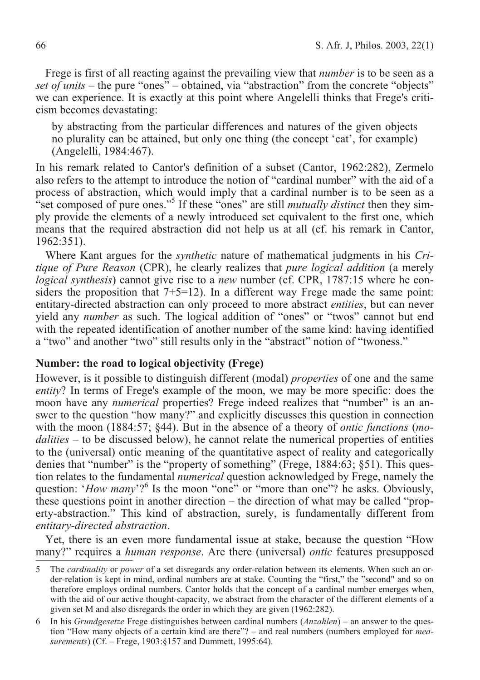Frege is first of all reacting against the prevailing view that *number* is to be seen as a *set of units* – the pure "ones" – obtained, via "abstraction" from the concrete "objects" we can experience. It is exactly at this point where Angelelli thinks that Frege's criticism becomes devastating:

by abstracting from the particular differences and natures of the given objects no plurality can be attained, but only one thing (the concept 'cat', for example) (Angelelli, 1984:467).

In his remark related to Cantor's definition of a subset (Cantor, 1962:282), Zermelo also refers to the attempt to introduce the notion of "cardinal number" with the aid of a process of abstraction, which would imply that a cardinal number is to be seen as a "set composed of pure ones."<sup>5</sup> If these "ones" are still *mutually distinct* then they simply provide the elements of a newly introduced set equivalent to the first one, which means that the required ab straction did not help us at all (cf. his remark in Cantor, 1962:351).

Where Kant argues for the *synthetic* nature of mathematical judgments in his *Critique of Pure Reason* (CPR), he clearly realizes that *pure logical addition* (a merely *logical synthesis*) cannot give rise to a *new* number (cf. CPR, 1787:15 where he considers the proposition that  $7+5=12$ ). In a different way Frege made the same point: entitary-directed abstraction can only proceed to more abstract *entities*, but can never yield any *number* as such. The logical addition of "ones" or "twos" cannot but end with the repeated identification of another number of the same kind: having identified a "two" and another "two" still results only in the "abstract" notion of "twoness."

## **Number: the road to logical objectivity (Frege)**

However, is it possible to distinguish different (modal) *properties* of one and the same *entity*? In terms of Frege's example of the moon, we may be more specific: does the moon have any *numerical* properties? Frege indeed realizes that "number" is an answer to the question "how many?" and explicitly discusses this question in connection with the moon (1884:57;  $\S$ 44). But in the absence of a theory of *ontic functions* (*modalities* – to be discussed below), he cannot relate the numerical properties of entities to the (universal) ontic meaning of the quantitative aspect of reality and categorically denies that "number" is the "property of something" (Frege,  $1884:63$ ;  $§51$ ). This question relates to the fundamental *numerical* question acknowledged by Frege, namely the question: '*How many*'?<sup>6</sup> Is the moon "one" or "more than one"? he asks. Obviously, these questions point in another direction – the direction of what may be called "property-abstraction." This kind of abstraction, surely, is fundamentally different from *enti tary- di rected ab strac tion*.

Yet, there is an even more fundamental issue at stake, because the question "How many?" requires a *human response*. Are there (universal) *ontic* features presupposed

<sup>5</sup> The *cardinality* or *power* of a set disregards any order-relation between its elements. When such an order-relation is kept in mind, ordinal numbers are at stake. Counting the "first," the "second" and so on therefore employs ordinal numbers. Cantor holds that the concept of a cardinal number emerges when, with the aid of our active thought-capacity, we abstract from the character of the different elements of a given set M and also disregards the order in which they are given  $(1962:282)$ .

<sup>6</sup> In his *Grundgesetze* Frege distinguishes between cardinal numbers (*Anzahlen*) – an answer to the question "How many objects of a certain kind are there"? – and real numbers (numbers employed for *measure ments*) (Cf. – Frege, 1903:§157 and Dummett, 1995:64).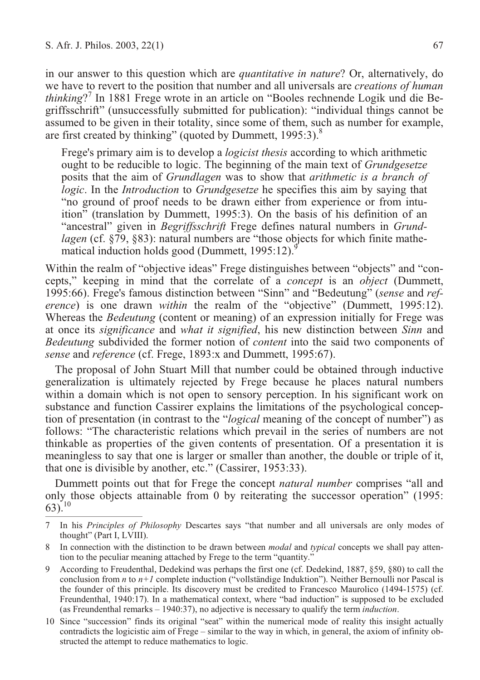in our answer to this question which are *quantitative in nature?* Or, alternatively, do we have to revert to the position that number and all universals are *creations of human* thinking?<sup>7</sup> In 1881 Frege wrote in an article on "Booles rechnende Logik und die Begriffsschrift" (unsuccessfully submitted for publication): "individual things cannot be assumed to be given in their totality, since some of them, such as number for example, are first created by thinking" (quoted by Dummett,  $1995:3$ ).

Frege's primary aim is to develop a *logicist thesis* according to which arithmetic ought to be reducible to logic. The beginning of the main text of *Grundgesetze* posits that the aim of *Grundlagen* was to show that *arithmetic is a branch of* logic. In the *Introduction* to *Grundgesetze* he specifies this aim by saying that "no ground of proof needs to be drawn either from experience or from intuition" (translation by Dummett, 1995:3). On the basis of his definition of an "ancestral" given in *Begriffsschrift* Frege defines natural numbers in *Grund*lagen (cf. §79, §83): natural numbers are "those objects for which finite mathematical induction holds good (Dummett, 1995:12).

Within the realm of "objective ideas" Frege distinguishes between "objects" and "concepts," keeping in mind that the correlate of a *concept* is an *object* (Dummett, 1995:66). Frege's famous distinction between "Sinn" and "Bedeutung" (sense and ref*erence*) is one drawn *within* the realm of the "objective" (Dummett, 1995:12). Whereas the *Bedeutung* (content or meaning) of an expression initially for Frege was at once its *significance* and *what it signified*, his new distinction between *Sinn* and *Bedeutung* subdivided the former notion of *content* into the said two components of sense and reference (cf. Frege, 1893:x and Dummett, 1995:67).

The proposal of John Stuart Mill that number could be obtained through inductive generalization is ultimately rejected by Frege because he places natural numbers within a domain which is not open to sensory perception. In his significant work on substance and function Cassirer explains the limitations of the psychological conception of presentation (in contrast to the "*logical* meaning of the concept of number") as follows: "The characteristic relations which prevail in the series of numbers are not thinkable as properties of the given contents of presentation. Of a presentation it is meaningless to say that one is larger or smaller than another, the double or triple of it, that one is divisible by another, etc." (Cassirer, 1953:33).

Dummett points out that for Frege the concept *natural number* comprises "all and" only those objects attainable from 0 by reiterating the successor operation" (1995:  $63)^{10}$ 

 $7^{\circ}$ In his Principles of Philosophy Descartes says "that number and all universals are only modes of thought" (Part I, LVIII).

<sup>8</sup> In connection with the distinction to be drawn between *modal* and *typical* concepts we shall pay attention to the peculiar meaning attached by Frege to the term "quantity."

<sup>9</sup> According to Freudenthal, Dedekind was perhaps the first one (cf. Dedekind, 1887, §59, §80) to call the conclusion from *n* to  $n+1$  complete induction ("vollständige Induktion"). Neither Bernoulli nor Pascal is the founder of this principle. Its discovery must be credited to Francesco Maurolico (1494-1575) (cf. Freundenthal, 1940:17). In a mathematical context, where "bad induction" is supposed to be excluded (as Freundenthal remarks  $-1940:37$ ), no adjective is necessary to qualify the term *induction*.

<sup>10</sup> Since "succession" finds its original "seat" within the numerical mode of reality this insight actually contradicts the logicistic aim of Frege – similar to the way in which, in general, the axiom of infinity obstructed the attempt to reduce mathematics to logic.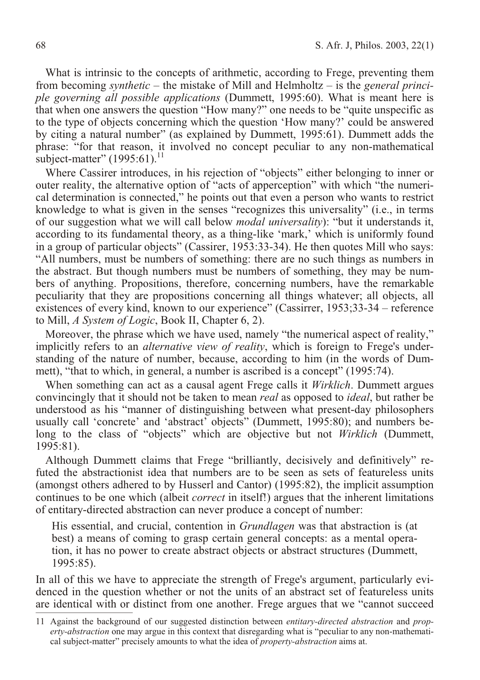What is intrinsic to the concepts of arithmetic, according to Frege, preventing them from becoming *synthetic* – the mistake of Mill and Helmholtz – is the *general princi*ple governing all possible applications (Dummett, 1995:60). What is meant here is that when one answers the question "How many?" one needs to be "quite unspecific as to the type of objects concerning which the question 'How many?' could be answered by citing a natural number" (as explained by Dummett,  $1995:61$ ). Dummett adds the phrase: "for that reason, it involved no concept peculiar to any non-mathematical subject-matter"  $(1995:61)$ .<sup>11</sup>

Where Cassirer introduces, in his rejection of "objects" either belonging to inner or outer reality, the alternative option of "acts of apperception" with which "the numerical determination is connected," he points out that even a person who wants to restrict knowledge to what is given in the senses "recognizes this universality" (i.e., in terms of our suggestion what we will call below *modal universality*): "but it understands it, according to its fundamental theory, as a thing-like 'mark,' which is uniformly found in a group of particular objects" (Cassirer, 1953:33-34). He then quotes Mill who says: "All numbers, must be numbers of something: there are no such things as numbers in the abstract. But though numbers must be numbers of something, they may be numbers of anything. Propositions, therefore, concerning numbers, have the remarkable peculiarity that they are propositions concerning all things whatever; all objects, all existences of every kind, known to our experience" (Cassirrer, 1953;33-34 – reference to Mill, A System of Logic, Book II, Chapter 6, 2).

Moreover, the phrase which we have used, namely "the numerical aspect of reality," implicitly refers to an *alternative view of reality*, which is foreign to Frege's understanding of the nature of number, because, according to him (in the words of Dummett), "that to which, in general, a number is ascribed is a concept" (1995:74).

When something can act as a causal agent Frege calls it *Wirklich*. Dummett argues convincingly that it should not be taken to mean *real* as opposed to *ideal*, but rather be understood as his "manner of distinguishing between what present-day philosophers usually call 'concrete' and 'abstract' objects" (Dummett, 1995:80); and numbers belong to the class of "objects" which are objective but not Wirklich (Dummett,  $1995:81$ ).

Although Dummett claims that Frege "brilliantly, decisively and definitively" refuted the abstractionist idea that numbers are to be seen as sets of featureless units (amongst others adhered to by Husserl and Cantor) (1995:82), the implicit assumption continues to be one which (albeit *correct* in itself!) argues that the inherent limitations of entitary-directed abstraction can never produce a concept of number:

His essential, and crucial, contention in *Grundlagen* was that abstraction is (at best) a means of coming to grasp certain general concepts: as a mental operation, it has no power to create abstract objects or abstract structures (Dummett, 1995:85).

In all of this we have to appreciate the strength of Frege's argument, particularly evidenced in the question whether or not the units of an abstract set of featureless units are identical with or distinct from one another. Frege argues that we "cannot succeed"

<sup>11</sup> Against the background of our suggested distinction between entitary-directed abstraction and property-abstraction one may argue in this context that disregarding what is "peculiar to any non-mathematical subject-matter" precisely amounts to what the idea of *property-abstraction* aims at.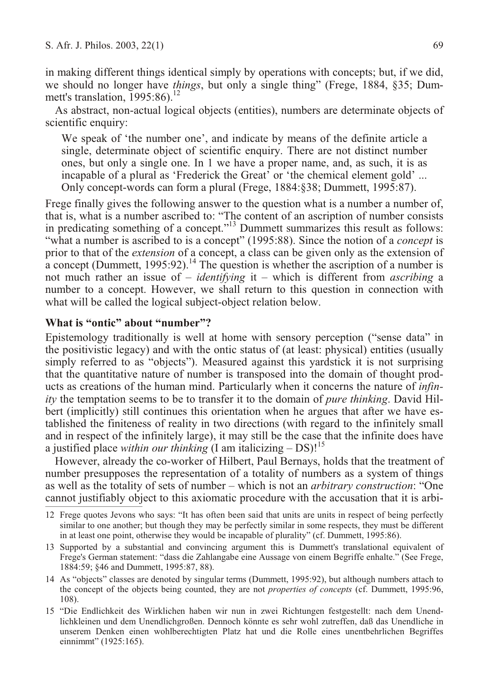in making different things identical simply by operations with concepts; but, if we did, we should no longer have *things*, but only a single thing" (Frege, 1884, 835; Dummett's translation,  $1995:86$ .<sup>12</sup>

As abstract, non-actual logical objects (entities), numbers are determinate objects of scientific enquiry:

We speak of 'the number one', and indicate by means of the definite article a single, determinate object of scientific enquiry. There are not distinct number ones, but only a single one. In 1 we have a proper name, and, as such, it is as in capable of a plural as 'Frederick the Great' or 'the chemical element gold' ... Only concept-words can form a plural (Frege, 1884:§38; Dummett, 1995:87).

Frege finally gives the following answer to the question what is a number a number of. that is, what is a number ascribed to: "The content of an ascription of number consists in predicating something of a concept."<sup>13</sup> Dummett summarizes this result as follows: "what a number is ascribed to is a concept" (1995:88). Since the notion of a *concept* is prior to that of the *extension* of a concept, a class can be given only as the extension of a concept (Dummett, 1995:92).<sup>14</sup> The question is whether the ascription of a number is not much rather an issue of – *identifying* it – which is different from *ascribing* a number to a concept. However, we shall return to this question in connection with what will be called the logical subject-object relation below.

## **What is "ontic" about "number"?**

Epistemology traditionally is well at home with sensory perception ("sense data" in the positivistic legacy) and with the ontic status of (at least: physical) entities (usually simply referred to as "objects"). Measured against this yardstick it is not surprising that the quantitative nature of number is transposed into the domain of thought products as creations of the human mind. Particularly when it concerns the nature of *infinity* the temptation seems to be to transfer it to the domain of *pure thinking*. David Hilbert (implicitly) still continues this orientation when he argues that after we have estab lished the finiteness of reality in two directions (with regard to the infinitely small and in respect of the infinitely large), it may still be the case that the infinite does have a justified place *within our thinking* (I am italicizing  $-DS$ )!<sup>15</sup>

However, already the co-worker of Hilbert, Paul Bernays, holds that the treatment of number presupposes the representation of a totality of numbers as a system of things as well as the totality of sets of number – which is not an *arbitrary construction*: "One cannot justifiably object to this axiomatic procedure with the accusation that it is arbi-

<sup>12</sup> Frege quotes Jevons who says: "It has often been said that units are units in respect of being perfectly similar to one another; but though they may be perfectly similar in some respects, they must be different in at least one point, otherwise they would be incapable of plurality" (cf. Dummett, 1995:86).

<sup>13</sup> Supported by a substantial and convincing argument this is Dummett's translational equivalent of Frege's German statement: "dass die Zahlangabe eine Aussage von einem Begriffe enhalte." (See Frege, 1884:59; §46 and Dummett, 1995:87, 88).

<sup>14</sup> As "objects" classes are denoted by singular terms (Dummett, 1995:92), but although numbers attach to the concept of the objects being counted, they are not *properties of concepts* (cf. Dummett, 1995:96, 108).

<sup>15</sup> "Die Endlichkeit des Wirklichen haben wir nun in zwei Richtungen festgestellt: nach dem Unend lichkleinen und dem Unendlichgroßen. Dennoch könnte es sehr wohl zutreffen, daß das Unendliche in unserem Denken einen wohlberechtigten Platz hat und die Rolle eines unentbehrlichen Begriffes einnimmt" (1925:165).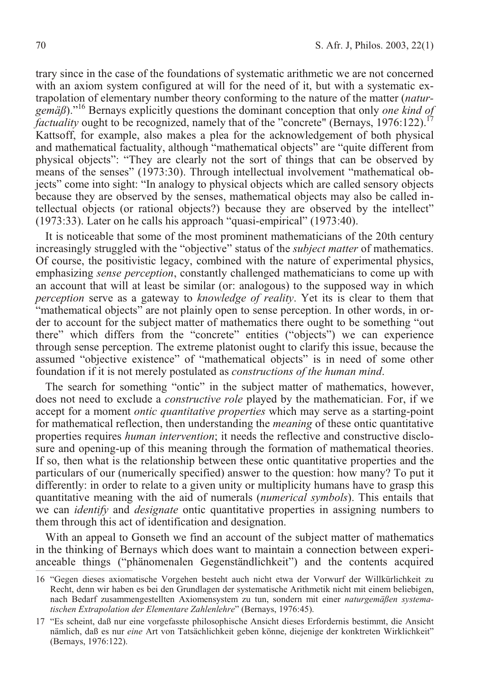trary since in the case of the foundations of systematic arithmetic we are not concerned with an axiom system configured at will for the need of it, but with a systematic extrapolation of elementary number theory conforming to the nature of the matter (*natur*gemäß)."<sup>16</sup> Bernays explicitly questions the dominant conception that only one kind of *factuality* ought to be recognized, namely that of the "concrete" (Bernays, 1976:122).<sup>17</sup> Kattsoff, for example, also makes a plea for the acknowledgement of both physical and mathematical factuality, although "mathematical objects" are "quite different from physical objects": "They are clearly not the sort of things that can be observed by means of the senses" (1973:30). Through intellectual involvement "mathematical objects" come into sight: "In analogy to physical objects which are called sensory objects because they are observed by the senses, mathematical objects may also be called intellectual objects (or rational objects?) because they are observed by the intellect" (1973:33). Later on he calls his approach "quasi-empirical" (1973:40).

It is noticeable that some of the most prominent mathematicians of the 20th century increasingly struggled with the "objective" status of the *subject matter* of mathematics. Of course, the positivistic legacy, combined with the nature of experimental physics. emphasizing *sense perception*, constantly challenged mathematicians to come up with an account that will at least be similar (or: analogous) to the supposed way in which perception serve as a gateway to knowledge of reality. Yet its is clear to them that "mathematical objects" are not plainly open to sense perception. In other words, in order to account for the subject matter of mathematics there ought to be something "out there" which differs from the "concrete" entities ("objects") we can experience through sense perception. The extreme platonist ought to clarify this issue, because the assumed "objective existence" of "mathematical objects" is in need of some other foundation if it is not merely postulated as *constructions* of the human mind.

The search for something "ontic" in the subject matter of mathematics, however, does not need to exclude a *constructive role* played by the mathematician. For, if we accept for a moment *ontic quantitative properties* which may serve as a starting-point for mathematical reflection, then understanding the *meaning* of these ontic quantitative properties requires *human intervention*; it needs the reflective and constructive disclosure and opening-up of this meaning through the formation of mathematical theories. If so, then what is the relationship between these ontic quantitative properties and the particulars of our (numerically specified) answer to the question: how many? To put it differently: in order to relate to a given unity or multiplicity humans have to grasp this quantitative meaning with the aid of numerals (numerical symbols). This entails that we can *identify* and *designate* ontic quantitative properties in assigning numbers to them through this act of identification and designation.

With an appeal to Gonseth we find an account of the subject matter of mathematics in the thinking of Bernays which does want to maintain a connection between experianceable things ("phänomenalen Gegenständlichkeit") and the contents acquired

<sup>16 &</sup>quot;Gegen dieses axiomatische Vorgehen besteht auch nicht etwa der Vorwurf der Willkürlichkeit zu Recht, denn wir haben es bei den Grundlagen der systematische Arithmetik nicht mit einem beliebigen. nach Bedarf zusammengestellten Axiomensystem zu tun, sondern mit einer naturgemäßen systematischen Extrapolation der Elementare Zahlenlehre" (Bernays, 1976:45).

<sup>17 &</sup>quot;Es scheint, daß nur eine vorgefasste philosophische Ansicht dieses Erfordernis bestimmt, die Ansicht nämlich, daß es nur eine Art von Tatsächlichkeit geben könne, diejenige der konktreten Wirklichkeit" (Bernavs, 1976:122).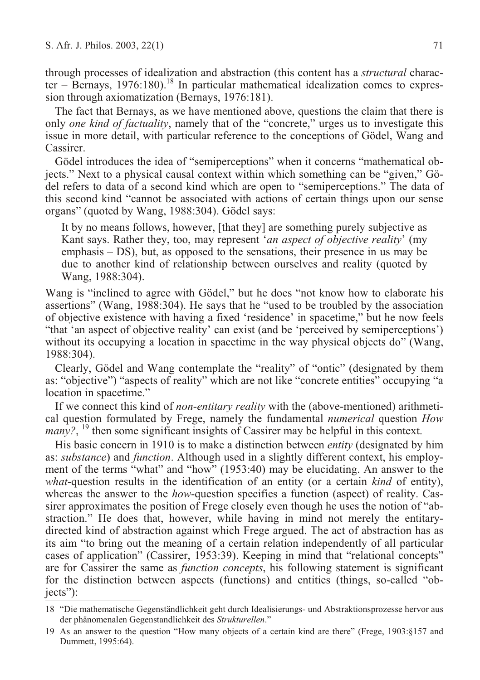through processes of idealization and abstraction (this content has a *structural* character – Bernays,  $1976:180$ .<sup>18</sup> In particular mathematical idealization comes to expression through axiomatization (Bernays, 1976:181).

The fact that Bernays, as we have mentioned above, questions the claim that there is only *one kind of factuality*, namely that of the "concrete," urges us to investigate this issue in more detail, with particular reference to the conceptions of Gödel, Wang and Cassirer

Gödel introduces the idea of "semiperceptions" when it concerns "mathematical objects." Next to a physical causal context within which something can be "given," Gödel refers to data of a second kind which are open to "semiperceptions." The data of this second kind "cannot be associated with actions of certain things upon our sense organs" (quoted by Wang, 1988:304). Gödel says:

It by no means follows, however, [that they] are something purely subjective as Kant says. Rather they, too, may represent '*an aspect of objective reality*' (my  $emphasis - DS$ ), but, as opposed to the sensations, their presence in us may be due to another kind of relationship between ourselves and reality (quoted by Wang, 1988:304).

Wang is "inclined to agree with Gödel," but he does "not know how to elaborate his assertions" (Wang, 1988:304). He says that he "used to be troubled by the association of objective existence with having a fixed 'residence' in spacetime," but he now feels "that 'an aspect of objective reality' can exist (and be 'perceived by semiperceptions') without its occupying a location in spacetime in the way physical objects do" (Wang, 1988:304).

Clearly, Gödel and Wang contemplate the "reality" of "ontic" (designated by them as: "objective") "aspects of reality" which are not like "concrete entities" occupying "a location in space time."

If we connect this kind of *non-entitary reality* with the (above-mentioned) arithmetical question formulated by Frege, namely the fundamental *numerical* question *How* many?, <sup>19</sup> then some significant insights of Cassirer may be helpful in this context.

His basic concern in 1910 is to make a distinction between *entity* (designated by him as: *substance*) and *function*. Although used in a slightly different context, his employment of the terms "what" and "how" (1953:40) may be elucidating. An answer to the *what*-question results in the identification of an entity (or a certain *kind* of entity), whereas the answer to the *how*-question specifies a function (aspect) of reality. Cassirer approximates the position of Frege closely even though he uses the notion of "abstraction." He does that, however, while having in mind not merely the entitarydirected kind of abstraction against which Frege argued. The act of abstraction has as its aim "to bring out the meaning of a certain relation independently of all particular cases of application" (Cassirer, 1953:39). Keeping in mind that "relational concepts" are for Cassirer the same as *function concepts*, his following statement is significant for the distinction between aspects (functions) and entities (things, so-called "objects"):

<sup>18</sup> "Die mathematische Gegenständlichkeit geht durch Idealisierungs- und Abstraktionsprozesse hervor aus der phänomenalen Gegenstandlichkeit des *Strukturellen*."

<sup>19</sup> As an answer to the question "How many objects of a certain kind are there" (Frege, 1903:§157 and Dummett, 1995:64).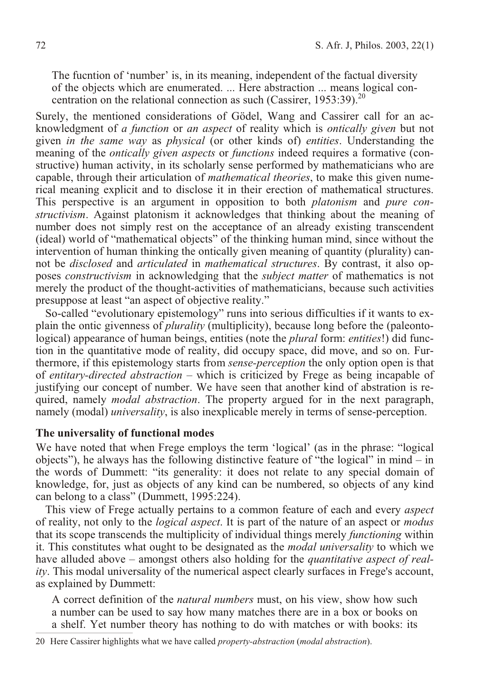The fucntion of 'number' is, in its meaning, independent of the factual diversity of the objects which are enumerated. ... Here abstraction ... means logical concentration on the relational connection as such (Cassirer, 1953:39).<sup>20</sup>

Surely, the mentioned considerations of Gödel, Wang and Cassirer call for an acknowledgment of a function or an aspect of reality which is *ontically given* but not given in the same way as physical (or other kinds of) entities. Understanding the meaning of the *ontically given aspects* or *functions* indeed requires a formative (constructive) human activity, in its scholarly sense performed by mathematicians who are capable, through their articulation of *mathematical theories*, to make this given numerical meaning explicit and to disclose it in their erection of mathematical structures. This perspective is an argument in opposition to both *platonism* and *pure con*structivism. Against platonism it acknowledges that thinking about the meaning of number does not simply rest on the acceptance of an already existing transcendent (ideal) world of "mathematical objects" of the thinking human mind, since without the intervention of human thinking the ontically given meaning of quantity (plurality) cannot be *disclosed* and *articulated* in *mathematical structures*. By contrast, it also opposes *constructivism* in acknowledging that the *subject matter* of mathematics is not merely the product of the thought-activities of mathematicians, because such activities presuppose at least "an aspect of objective reality."

So-called "evolutionary epistemology" runs into serious difficulties if it wants to explain the ontic givenness of *plurality* (multiplicity), because long before the (paleontological) appearance of human beings, entities (note the *plural* form: *entities!*) did function in the quantitative mode of reality, did occupy space, did move, and so on. Furthermore, if this epistemology starts from *sense-perception* the only option open is that of *entitary-directed abstraction* – which is criticized by Frege as being incapable of justifying our concept of number. We have seen that another kind of abstration is required, namely *modal abstraction*. The property argued for in the next paragraph, namely (modal) *universality*, is also inexplicable merely in terms of sense-perception.

## The universality of functional modes

We have noted that when Frege employs the term 'logical' (as in the phrase: "logical" objects"), he always has the following distinctive feature of "the logical" in mind  $-$  in the words of Dummett: "its generality: it does not relate to any special domain of knowledge, for, just as objects of any kind can be numbered, so objects of any kind can belong to a class" (Dummett, 1995:224).

This view of Frege actually pertains to a common feature of each and every *aspect* of reality, not only to the *logical aspect*. It is part of the nature of an aspect or *modus* that its scope transcends the multiplicity of individual things merely *functioning* within it. This constitutes what ought to be designated as the *modal universality* to which we have alluded above – amongst others also holding for the *quantitative aspect of real* $itv$ . This modal universality of the numerical aspect clearly surfaces in Frege's account, as explained by Dummett:

A correct definition of the *natural numbers* must, on his view, show how such a number can be used to say how many matches there are in a box or books on a shelf. Yet number theory has nothing to do with matches or with books: its

<sup>20</sup> Here Cassirer highlights what we have called *property-abstraction* (*modal abstraction*).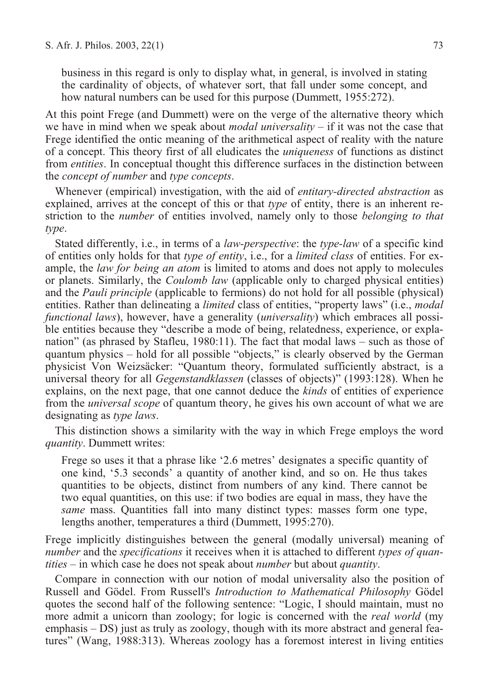business in this regard is only to display what, in general, is involved in stating the cardinality of objects, of whatever sort, that fall under some concept, and how natural numbers can be used for this purpose (Dummett, 1955:272).

At this point Frege (and Dummett) were on the verge of the alternative theory which we have in mind when we speak about *modal universality* – if it was not the case that Frege identified the ontic meaning of the arithmetical aspect of reality with the nature of a concept. This theory first of all eludicates the *uniqueness* of functions as distinct from *entities*. In conceptual thought this difference surfaces in the distinction between the *con cept of num ber* and *type con cepts*.

Whenever (empirical) investigation, with the aid of *entitary-directed abstraction* as explained, arrives at the concept of this or that *type* of entity, there is an inherent restriction to the *number* of entities involved, namely only to those *belonging to that type*.

Stated differently, i.e., in terms of a *law-perspective*: the *type-law* of a specific kind of entities only holds for that *type of entity*, i.e., for a *limited class* of entities. For example, the *law for being an atom* is limited to atoms and does not apply to molecules or planets. Similarly, the *Coulomb law* (applicable only to charged physical entities) and the *Pauli principle* (applicable to fermions) do not hold for all possible (physical) entities. Rather than delineating a *limited* class of entities, "property laws" (i.e., *modal functional laws*), however, have a generality *(universality)* which embraces all possible entities because they "describe a mode of being, relatedness, experience, or explana tion" (as phrased by Stafleu, 1980:11). The fact that modal laws – such as those of quantum physics – hold for all possible "objects," is clearly observed by the German physicist Von Weizsäcker: "Quantum theory, formulated sufficiently abstract, is a universal theory for all *Gegenstandklassen* (classes of objects)" (1993:128). When he explains, on the next page, that one cannot deduce the *kinds* of entities of experience from the *universal scope* of quantum theory, he gives his own account of what we are designating as *type laws*.

This distinction shows a similarity with the way in which Frege employs the word *quantity*. Dummett writes:

Frege so uses it that a phrase like '2.6 metres' designates a specific quantity of one kind, '5.3 seconds' a quantity of another kind, and so on. He thus takes quantities to be objects, distinct from numbers of any kind. There cannot be two equal quantities, on this use: if two bodies are equal in mass, they have the *same* mass. Quantities fall into many distinct types: masses form one type, lengths another, temperatures a third (Dummett, 1995:270).

Frege implicitly distinguishes between the general (modally universal) meaning of *number* and the *specifications* it receives when it is attached to different *types of quantities* – in which case he does not speak about *number* but about *quantity*.

Compare in connection with our notion of modal universality also the position of Russell and Gödel. From Russell's *Introduction to Mathematical Philosophy* Gödel quotes the second half of the following sentence: "Logic, I should maintain, must no more admit a unicorn than zoology; for logic is concerned with the *real world* (my emphasis  $-DS$ ) just as truly as zoology, though with its more abstract and general features" (Wang, 1988:313). Whereas zoology has a foremost interest in living entities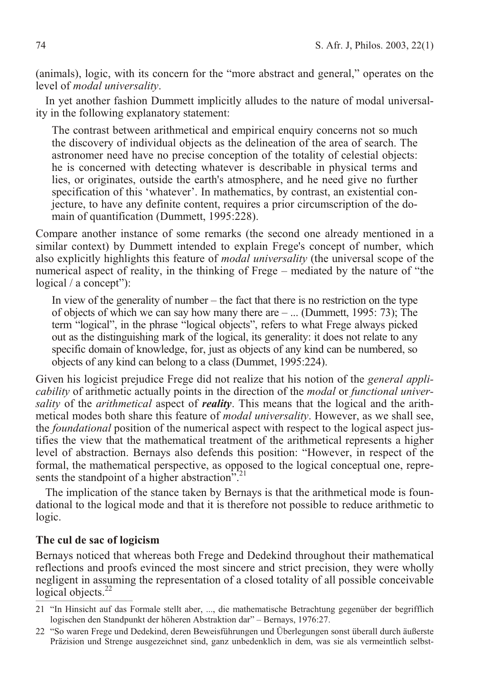(animals), logic, with its concern for the "more abstract and general," operates on the level of *modal universality*.

In yet another fashion Dummett implicitly alludes to the nature of modal universality in the following explanatory statement:

The contrast between arithmetical and empirical enquiry concerns not so much the discovery of individual objects as the delineation of the area of search. The as tronomer need have no precise conception of the totality of celestial objects: he is concerned with detecting whatever is describable in physical terms and lies, or originates, outside the earth's atmosphere, and he need give no further specification of this 'whatever'. In mathematics, by contrast, an existential conjecture, to have any definite content, requires a prior circumscription of the domain of quantification (Dummett,  $1995:228$ ).

Compare another instance of some remarks (the second one already mentioned in a similar context) by Dummett intended to explain Frege's concept of number, which also explicitly highlights this feature of *modal universality* (the universal scope of the numerical aspect of reality, in the thinking of Frege – mediated by the nature of "the  $logical / a concept$ "):

In view of the generality of number – the fact that there is no restriction on the type of objects of which we can say how many there are  $-$  ... (Dummett, 1995: 73); The term "logical", in the phrase "logical objects", refers to what Frege always picked out as the distinguishing mark of the logical, its generality: it does not relate to any specific domain of knowledge, for, just as objects of any kind can be numbered, so objects of any kind can belong to a class (Dummet, 1995:224).

Given his logicist prejudice Frege did not realize that his notion of the *general applicability* of arithmetic actually points in the direction of the *modal* or *functional universality* of the *arithmetical* aspect of *reality*. This means that the logical and the arithmetical modes both share this feature of *modal universality*. However, as we shall see, the *foundational* position of the numerical aspect with respect to the logical aspect justifies the view that the mathematical treatment of the arithmetical represents a higher level of abstraction. Bernays also defends this position: "However, in respect of the formal, the mathematical perspective, as opposed to the logical conceptual one, represents the standpoint of a higher abstraction".<sup>21</sup>

The implication of the stance taken by Bernays is that the arithmetical mode is foundational to the logical mode and that it is therefore not possible to reduce arithmetic to logic.

## **The cul de sac of logicism**

Bernays noticed that whereas both Frege and Dedekind throughout their mathematical reflections and proofs evinced the most sincere and strict precision, they were wholly negligent in assuming the representation of a closed totality of all possible conceivable logical objects.<sup>22</sup>

<sup>21</sup> "In Hinsicht auf das Formale stellt aber, ..., die mathematische Betrachtung gegenüber der begrifflich logischen den Standpunkt der höheren Abstraktion dar" – Bernays, 1976:27.

<sup>22</sup> "So waren Frege und Dedekind, deren Beweisführungen und Überlegungen sonst überall durch äußerste Präzision und Strenge ausgezeichnet sind, ganz unbedenklich in dem, was sie als vermeintlich selbst-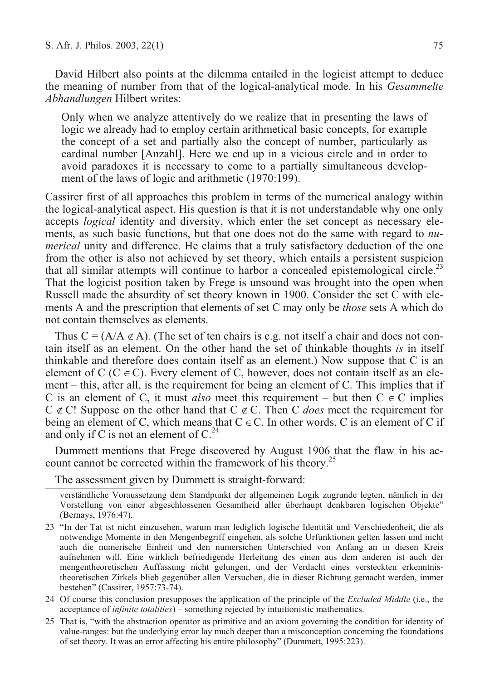David Hilbert also points at the dilemma entailed in the logicist attempt to deduce the meaning of number from that of the logical-analytical mode. In his *Gesammelte Abhandlungen* Hilbert writes:

Only when we analyze atten tively do we realize that in presenting the laws of logic we already had to employ certain arithmetical basic concepts, for example the concept of a set and partially also the concept of number, particularly as cardinal number [Anzahl]. Here we end up in a vicious circle and in order to avoid paradoxes it is necessary to come to a partially simultaneous development of the laws of logic and arithmetic (1970:199).

Cassirer first of all approaches this problem in terms of the numerical analogy within the logical-analytical aspect. His question is that it is not understandable why one only accepts *logical* identity and diversity, which enter the set concept as necessary elements, as such basic functions, but that one does not do the same with regard to *numerical* unity and difference. He claims that a truly satisfactory deduction of the one from the other is also not achieved by set theory, which entails a persistent suspicion that all similar attempts will continue to harbor a concealed epistemological circle.<sup>23</sup> That the logicist position taken by Frege is unsound was brought into the open when Russell made the absurdity of set theory known in 1900. Consider the set  $C$  with elements A and the prescription that elements of set C may only be *those* sets A which do not contain themselves as elements.

Thus  $C = (A/A \ A)$ . (The set of ten chairs is e.g. not itself a chair and does not contain itself as an element. On the other hand the set of thinkable thoughts *is* in itself think able and therefore does contain itself as an element.) Now suppose that  $C$  is an element of  $C$  (C  $C$ ). Every element of  $C$ , however, does not contain itself as an element  $-$  this, after all, is the requirement for being an element of C. This implies that if C is an element of C, it must *also* meet this requirement – but then C  $\subset$  C implies C C! Suppose on the other hand that C C. Then C *does* meet the requirement for being an element of C, which means that  $C$  C. In other words, C is an element of C if and only if C is not an element of  $C<sup>24</sup>$ 

Dummett mentions that Frege discovered by August 1906 that the flaw in his account cannot be corrected within the framework of his theory.<sup>25</sup>

The assessment given by Dummett is straight-forward:

- 24 Of course this conclusion presupposes the application of the principle of the *Excluded Middle* (i.e., the acceptance of *infinite totalities*) – something rejected by intuitionistic mathematics.
- 25 That is, "with the abstraction operator as primitive and an axiom governing the condition for identity of value-ranges: but the underlying error lay much deeper than a misconception concerning the foundations of set theory. It was an error affecting his entire philosophy" (Dummett, 1995:223).

verständliche Voraussetzung dem Standpunkt der allgemeinen Logik zugrunde legten, nämlich in der Vorstellung von einer abgeschlossenen Gesamtheid aller überhaupt denkbaren logischen Objekte" (Bernays, 1976:47).

<sup>23</sup> "In der Tat ist nicht einzusehen, warum man lediglich logische Identität und Verschiedenheit, die als notwendige Momente in den Mengenbegriff eingehen, als solche Urfunktionen gelten lassen und nicht auch die numerische Einheit und den numersichen Unterschied von Anfang an in diesen Kreis aufnehmen will. Eine wirklich befriedigende Herleitung des einen aus dem anderen ist auch der mengentheoretischen Auffassung nicht gelungen, und der Verdacht eines versteckten erkenntnis theoretischen Zirkels blieb gegenüber allen Versuchen, die in dieser Richtung gemacht werden, immer bestehen" (Cassirer, 1957:73-74).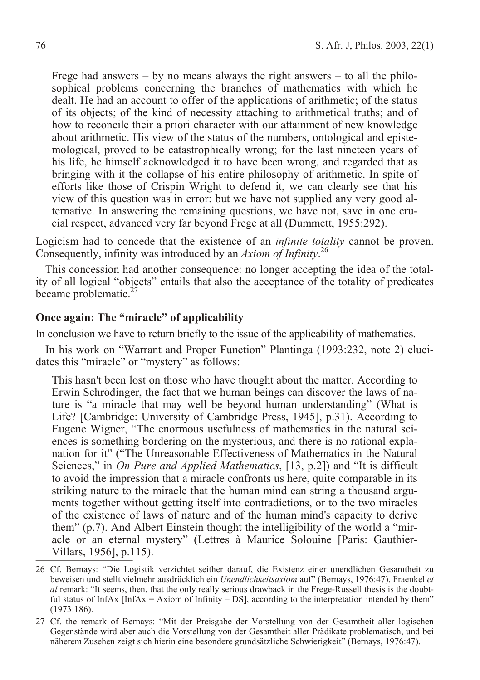Frege had answers – by no means always the right answers – to all the philosophical problems concerning the branches of mathematics with which he dealt. He had an account to offer of the applications of arithmetic; of the status of its objects; of the kind of necessity attaching to arithmetical truths; and of how to reconcile their a priori character with our attainment of new knowledge about arithmetic. His view of the status of the numbers, ontological and epistemological, proved to be catastrophically wrong; for the last nineteen years of his life, he himself acknowledged it to have been wrong, and regarded that as bringing with it the collapse of his entire philosophy of arithmetic. In spite of efforts like those of Crispin Wright to defend it, we can clearly see that his view of this question was in error: but we have not supplied any very good alternative. In answering the remaining questions, we have not, save in one crucial respect, advanced very far bevond Frege at all (Dummett, 1955:292).

Logicism had to concede that the existence of an *infinite totality* cannot be proven. Consequently, infinity was introduced by an *Axiom of Infinity*.<sup>26</sup>

This concession had another consequence: no longer accepting the idea of the totality of all logical "objects" entails that also the acceptance of the totality of predicates became problematic. $<sup>2</sup>$ </sup>

## **Once again: The "miracle" of applicability**

In conclusion we have to return briefly to the issue of the applicability of mathematics.

In his work on "Warrant and Proper Function" Plantinga (1993:232, note 2) elucidates this "miracle" or "mystery" as follows:

This hasn't been lost on those who have thought about the matter. According to Erwin Schrödinger, the fact that we human beings can discover the laws of nature is "a miracle that may well be beyond human understanding" (What is Life? [Cambridge: University of Cambridge Press, 1945], p.31). According to Eugene Wigner, "The enormous usefulness of mathematics in the natural sciences is something bordering on the mysterious, and there is no rational explanation for it" ("The Unreasonable Effectiveness of Mathematics in the Natural Sciences," in *On Pure and Applied Mathematics*, [13, p.2]) and "It is difficult to avoid the impression that a miracle confronts us here, quite comparable in its striking nature to the miracle that the human mind can string a thousand arguments together without getting itself into contradictions, or to the two miracles of the existence of laws of nature and of the human mind's capacity to derive them" (p.7). And Albert Einstein thought the intelligibility of the world a "miracle or an eternal mystery" (Lettres à Maurice Solouine [Paris: Gauthier-Villars, 1956], p.115).

<sup>26</sup> Cf. Bernays: "Die Logistik verzichtet seither darauf, die Existenz einer unendlichen Gesamtheit zu beweisen und stellt vielmehr ausdrücklich ein *Unendlichkeitsaxiom* auf" (Bernays, 1976:47). Fraenkel *et al* remark: "It seems, then, that the only really serious drawback in the Frege-Russell thesis is the doubtful status of InfAx  $[InfAx = Axiom$  of Infinity – DS, according to the interpretation intended by them" (1973:186).

<sup>27</sup> Cf. the remark of Bernays: "Mit der Preisgabe der Vorstellung von der Gesamtheit aller logischen Gegenstände wird aber auch die Vorstellung von der Gesamtheit aller Prädikate problematisch, und bei näherem Zusehen zeigt sich hierin eine besondere grundsätzliche Schwierigkeit" (Bernays, 1976:47).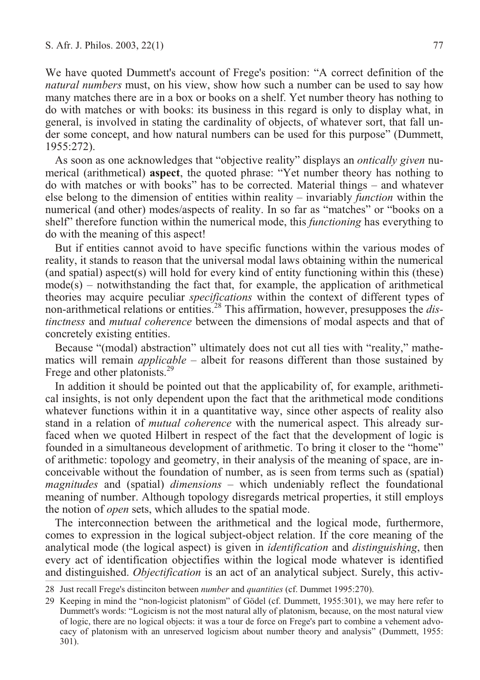We have quoted Dummett's account of Frege's position: "A correct definition of the *natural numbers* must, on his view, show how such a number can be used to say how many matches there are in a box or books on a shelf. Yet number theory has nothing to do with matches or with books: its business in this regard is only to display what, in general, is involved in stating the cardinality of objects, of whatever sort, that fall under some concept, and how natural numbers can be used for this purpose" (Dummett, 1955:272).

As soon as one acknowledges that "objective reality" displays an *ontically given* numerical (arithmetical) **aspect**, the quoted phrase: "Yet number theory has nothing to do with matches or with books" has to be corrected. Material things – and whatever else belong to the dimension of entities within reality – invariably *function* within the numerical (and other) modes/aspects of reality. In so far as "matches" or "books on a shelf" therefore function within the numerical mode, this *functioning* has everything to do with the meaning of this aspect!

But if entities cannot avoid to have specific functions within the various modes of reality, it stands to reason that the universal modal laws obtaining within the numerical (and spatial) aspect(s) will hold for every kind of entity functioning within this (these)  $mode(s)$  – not with standing the fact that, for example, the application of arithmetical theories may acquire peculiar *specifications* within the context of different types of non-arithmetical relations or entities.<sup>28</sup> This affirmation, however, presupposes the *distinctness* and *mutual coherence* between the dimensions of modal aspects and that of concretely existing entities.

Because "(modal) abstraction" ultimately does not cut all ties with "reality," mathematics will remain *applicable* – albeit for reasons different than those sustained by Frege and other platonists.<sup>29</sup>

In addition it should be pointed out that the applicability of, for example, arithmetical insights, is not only dependent upon the fact that the arithmetical mode conditions whatever functions within it in a quantitative way, since other aspects of reality also stand in a relation of *mutual coherence* with the numerical aspect. This already surfaced when we quoted Hilbert in respect of the fact that the development of logic is founded in a simultaneous development of arithmetic. To bring it closer to the "home" of arithmetic: topology and geometry, in their analysis of the meaning of space, are inconceivable without the foundation of number, as is seen from terms such as (spatial) *magnitudes* and (spatial) *dimensions* – which undeniably reflect the foundational meaning of number. Although topology disregards metrical properties, it still employs the notion of *open* sets, which alludes to the spatial mode.

The interconnection between the arithmetical and the logical mode, furthermore, comes to expression in the logical subject-object relation. If the core meaning of the analytical mode (the logical aspect) is given in *identification* and *distinguishing*, then every act of identification objectifies within the logical mode what ever is identified and distinguished. *Objectification* is an act of an analytical subject. Surely, this activ-

<sup>28</sup> Just re call Frege's distinciton be tween *num ber* and *quan ti ties* (cf. Dummet 1995:270).

<sup>29</sup> Keeping in mind the "non-logicist platonism" of Gödel (cf. Dummett, 1955:301), we may here refer to Dummett's words: "Logicism is not the most natural ally of platonism, because, on the most natural view of logic, there are no logical objects: it was a tour de force on Frege's part to combine a vehement advocacy of platonism with an unreserved logicism about number theory and analysis" (Dummett, 1955: 301).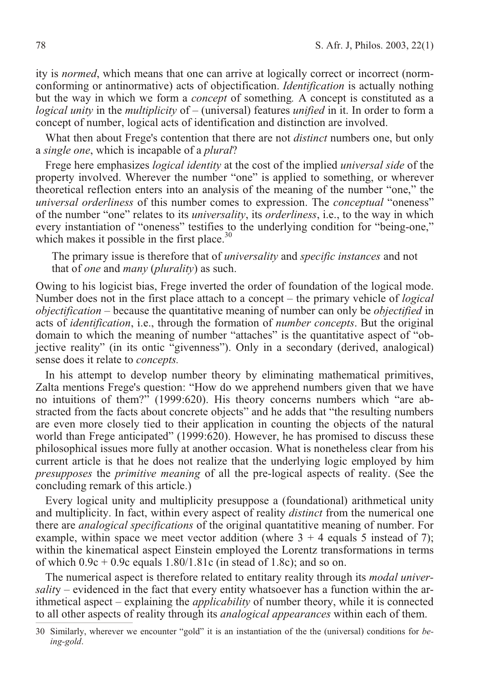ity is *normed*, which means that one can arrive at logically correct or incorrect (normconforming or antinormative) acts of objectification. *Identification* is actually nothing but the way in which we form a *concept* of something. A concept is constituted as a *logical unity* in the *multiplicity* of – (universal) features *unified* in it. In order to form a concept of number, logical acts of identification and distinction are involved.

What then about Frege's contention that there are not *distinct* numbers one, but only a *single one*, which is incapable of a *plural*?

Frege here emphasizes *logical identity* at the cost of the implied *universal side* of the property involved. Wherever the number "one" is applied to something, or wherever the oretical reflection enters into an analysis of the meaning of the number "one," the *universal orderliness* of this number comes to expression. The *conceptual* "oneness" of the num ber "one" re lates to its *uni ver sal ity*, its *or der li ness*, i.e., to the way in which every instantiation of "oneness" testifies to the underlying condition for "being-one." which makes it possible in the first place. $30$ 

The primary issue is therefore that of *universality* and *specific instances* and not that of *one* and *many* (*plurality*) as such.

Owing to his logicist bias, Frege inverted the order of foundation of the logical mode. Number does not in the first place attach to a concept – the primary vehicle of *logical objectification* – because the quantitative meaning of number can only be *objectified* in acts of *identification*, i.e., through the formation of *number concepts*. But the original domain to which the meaning of number "attaches" is the quantitative aspect of "objective reality" (in its ontic "givenness"). Only in a secondary (derived, analogical) sense does it relate to *concepts*.

In his attempt to develop number theory by eliminating mathematical primitives, Zalta mentions Frege's question: "How do we apprehend numbers given that we have no intuitions of them?" (1999:620). His theory concerns numbers which "are abstracted from the facts about concrete objects" and he adds that "the resulting numbers are even more closely tied to their application in counting the objects of the natural world than Frege anticipated" (1999:620). However, he has promised to discuss these philosophical issues more fully at another occasion. What is nonetheless clear from his current article is that he does not realize that the underlying logic employed by him *presupposes* the *primitive meaning* of all the pre-logical aspects of reality. (See the concluding remark of this article.)

Every logical unity and multiplicity presuppose a (foundational) arithmetical unity and multiplicity. In fact, within every aspect of reality *distinct* from the numerical one there are *analogical specifications* of the original quantatitive meaning of number. For example, within space we meet vector addition (where  $3 + 4$  equals 5 instead of 7); within the kinematical aspect Einstein employed the Lorentz transformations in terms of which  $0.9c + 0.9c$  equals  $1.80/1.81c$  (in stead of 1.8c); and so on.

The numerical aspect is therefore related to entitary reality through its *modal universality* – evidenced in the fact that every entity whatso ever has a function within the arith metical aspect – explaining the *applicability* of number theory, while it is connected to all other aspects of reality through its *analogical appearances* within each of them.

<sup>30</sup> Similarly, wherever we encounter "gold" it is an instantiation of the the (universal) conditions for *being-gold*.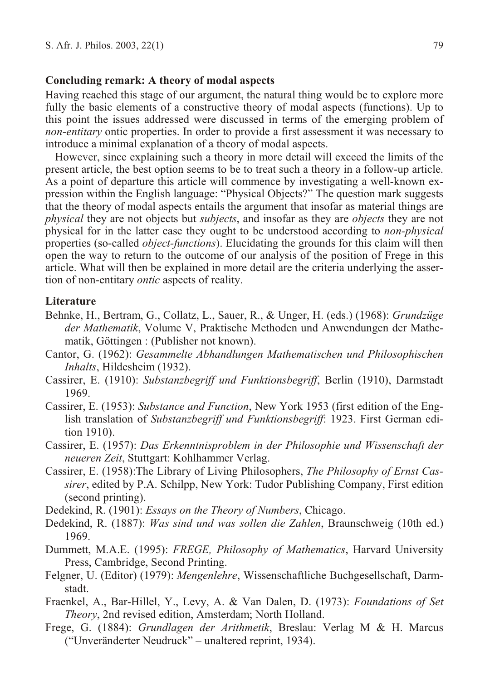#### Concluding remark: A theory of modal aspects

Having reached this stage of our argument, the natural thing would be to explore more fully the basic elements of a constructive theory of modal aspects (functions). Up to this point the issues addressed were discussed in terms of the emerging problem of *non-entitary* ontic properties. In order to provide a first assessment it was necessary to introduce a minimal explanation of a theory of modal aspects.

However, since explaining such a theory in more detail will exceed the limits of the present article, the best option seems to be to treat such a theory in a follow-up article. As a point of departure this article will commence by investigating a well-known expression within the English language: "Physical Objects?" The question mark suggests that the theory of modal aspects entails the argument that insofar as material things are *physical* they are not objects but *subjects*, and insofar as they are *objects* they are not physical for in the latter case they ought to be understood according to *non-physical* properties (so-called *object-functions*). Elucidating the grounds for this claim will then open the way to return to the outcome of our analysis of the position of Frege in this article. What will then be explained in more detail are the criteria underlying the assertion of non-entitary *ontic* aspects of reality.

## Literature

- Behnke, H., Bertram, G., Collatz, L., Sauer, R., & Unger, H. (eds.) (1968): Grundzüge der Mathematik, Volume V, Praktische Methoden und Anwendungen der Mathematik, Göttingen : (Publisher not known).
- Cantor, G. (1962): Gesammelte Abhandlungen Mathematischen und Philosophischen *Inhalts*, Hildesheim (1932).
- Cassirer, E. (1910): Substanzbegriff und Funktionsbegriff, Berlin (1910), Darmstadt 1969
- Cassirer, E. (1953): Substance and Function, New York 1953 (first edition of the English translation of Substanzbegriff und Funktionsbegriff: 1923. First German edition 1910).
- Cassirer, E. (1957): Das Erkenntnisproblem in der Philosophie und Wissenschaft der neueren Zeit, Stuttgart: Kohlhammer Verlag.
- Cassirer, E. (1958): The Library of Living Philosophers, The Philosophy of Ernst Cassirer, edited by P.A. Schilpp, New York: Tudor Publishing Company, First edition (second printing).
- Dedekind, R. (1901): *Essays on the Theory of Numbers*, Chicago.
- Dedekind, R. (1887): Was sind und was sollen die Zahlen, Braunschweig (10th ed.) 1969
- Dummett, M.A.E. (1995): FREGE, Philosophy of Mathematics, Harvard University Press, Cambridge, Second Printing.
- Felgner, U. (Editor) (1979): Mengenlehre, Wissenschaftliche Buchgesellschaft, Darmstadt.
- Fraenkel, A., Bar-Hillel, Y., Levy, A. & Van Dalen, D. (1973): Foundations of Set Theory, 2nd revised edition, Amsterdam; North Holland.
- Frege, G. (1884): Grundlagen der Arithmetik, Breslau: Verlag M & H. Marcus ("Unveränderter Neudruck" – unaltered reprint, 1934).